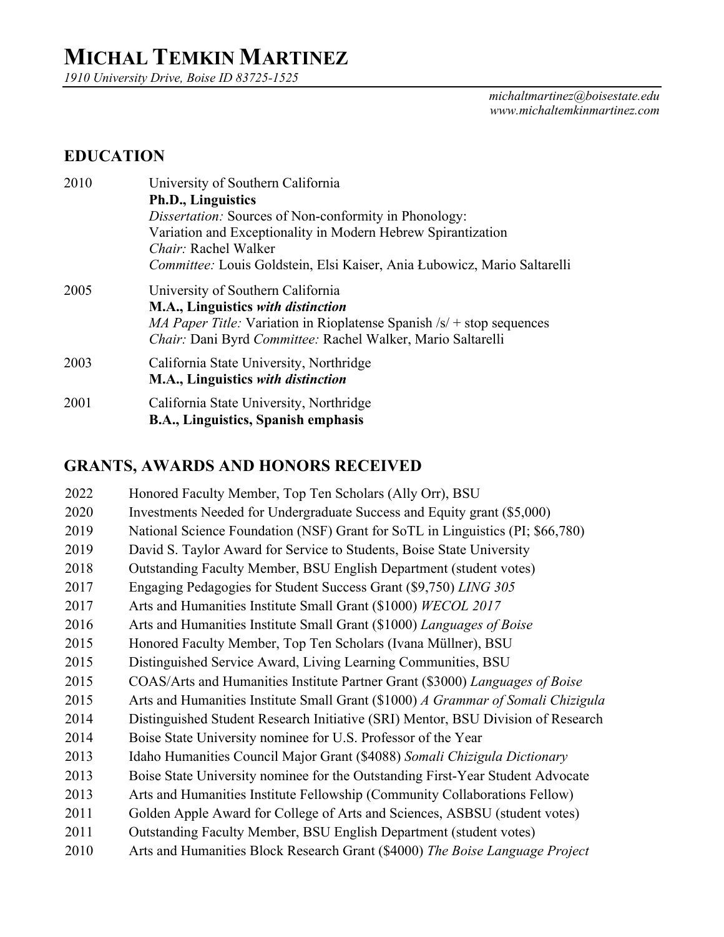# **MICHAL TEMKIN MARTINEZ**

*1910 University Drive, Boise ID 83725-1525*

*michaltmartinez@boisestate.edu www.michaltemkinmartinez.com* 

## **EDUCATION**

| 2010 | University of Southern California                                                   |
|------|-------------------------------------------------------------------------------------|
|      | <b>Ph.D., Linguistics</b>                                                           |
|      | <i>Dissertation:</i> Sources of Non-conformity in Phonology:                        |
|      | Variation and Exceptionality in Modern Hebrew Spirantization                        |
|      | <i>Chair:</i> Rachel Walker                                                         |
|      | Committee: Louis Goldstein, Elsi Kaiser, Ania Łubowicz, Mario Saltarelli            |
| 2005 | University of Southern California                                                   |
|      | M.A., Linguistics with distinction                                                  |
|      | <i>MA Paper Title:</i> Variation in Rioplatense Spanish $\sqrt{s}$ + stop sequences |
|      | Chair: Dani Byrd Committee: Rachel Walker, Mario Saltarelli                         |
| 2003 | California State University, Northridge                                             |
|      | M.A., Linguistics with distinction                                                  |
| 2001 | California State University, Northridge                                             |
|      | B.A., Linguistics, Spanish emphasis                                                 |

## **GRANTS, AWARDS AND HONORS RECEIVED**

| 2022 | Honored Faculty Member, Top Ten Scholars (Ally Orr), BSU                         |
|------|----------------------------------------------------------------------------------|
| 2020 | Investments Needed for Undergraduate Success and Equity grant (\$5,000)          |
| 2019 | National Science Foundation (NSF) Grant for SoTL in Linguistics (PI; \$66,780)   |
| 2019 | David S. Taylor Award for Service to Students, Boise State University            |
| 2018 | Outstanding Faculty Member, BSU English Department (student votes)               |
| 2017 | Engaging Pedagogies for Student Success Grant (\$9,750) LING 305                 |
| 2017 | Arts and Humanities Institute Small Grant (\$1000) WECOL 2017                    |
| 2016 | Arts and Humanities Institute Small Grant (\$1000) Languages of Boise            |
| 2015 | Honored Faculty Member, Top Ten Scholars (Ivana Müllner), BSU                    |
| 2015 | Distinguished Service Award, Living Learning Communities, BSU                    |
| 2015 | COAS/Arts and Humanities Institute Partner Grant (\$3000) Languages of Boise     |
| 2015 | Arts and Humanities Institute Small Grant (\$1000) A Grammar of Somali Chizigula |
| 2014 | Distinguished Student Research Initiative (SRI) Mentor, BSU Division of Research |
| 2014 | Boise State University nominee for U.S. Professor of the Year                    |
| 2013 | Idaho Humanities Council Major Grant (\$4088) Somali Chizigula Dictionary        |
| 2013 | Boise State University nominee for the Outstanding First-Year Student Advocate   |
| 2013 | Arts and Humanities Institute Fellowship (Community Collaborations Fellow)       |
| 2011 | Golden Apple Award for College of Arts and Sciences, ASBSU (student votes)       |
| 2011 | Outstanding Faculty Member, BSU English Department (student votes)               |
| 2010 | Arts and Humanities Block Research Grant (\$4000) The Boise Language Project     |
|      |                                                                                  |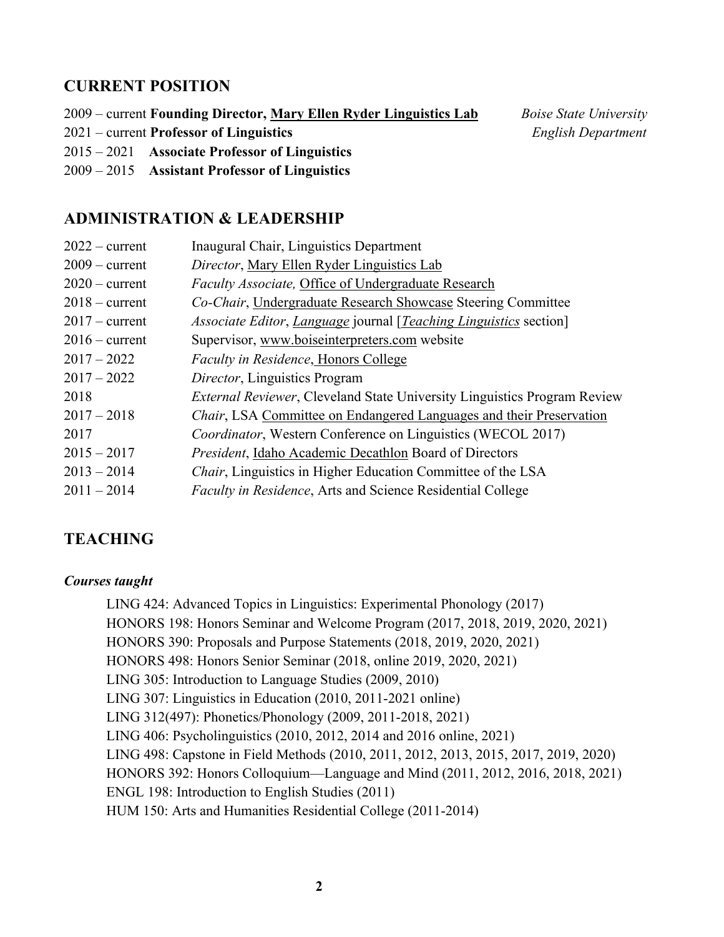#### **CURRENT POSITION**

2009 – current **Founding Director, Mary Ellen Ryder Linguistics Lab** *Boise State University*

- 2021 current **Professor of Linguistics** *English Department*
- 2015 2021 **Associate Professor of Linguistics**
- 2009 2015 **Assistant Professor of Linguistics**

#### **ADMINISTRATION & LEADERSHIP**

| $2022$ – current | Inaugural Chair, Linguistics Department                                          |
|------------------|----------------------------------------------------------------------------------|
| $2009$ – current | Director, Mary Ellen Ryder Linguistics Lab                                       |
| $2020$ – current | Faculty Associate, Office of Undergraduate Research                              |
| $2018 - current$ | Co-Chair, Undergraduate Research Showcase Steering Committee                     |
| $2017$ – current | <i>Associate Editor, Language journal [Teaching Linguistics section]</i>         |
| $2016$ – current | Supervisor, www.boiseinterpreters.com website                                    |
| $2017 - 2022$    | Faculty in Residence, Honors College                                             |
| $2017 - 2022$    | Director, Linguistics Program                                                    |
| 2018             | <i>External Reviewer</i> , Cleveland State University Linguistics Program Review |
| $2017 - 2018$    | <i>Chair</i> , LSA Committee on Endangered Languages and their Preservation      |
| 2017             | <i>Coordinator</i> , Western Conference on Linguistics (WECOL 2017)              |
| $2015 - 2017$    | President, Idaho Academic Decathlon Board of Directors                           |
| $2013 - 2014$    | <i>Chair</i> , Linguistics in Higher Education Committee of the LSA              |
| $2011 - 2014$    | <i>Faculty in Residence, Arts and Science Residential College</i>                |
|                  |                                                                                  |

#### **TEACHING**

#### *Courses taught*

LING 424: Advanced Topics in Linguistics: Experimental Phonology (2017) HONORS 198: Honors Seminar and Welcome Program (2017, 2018, 2019, 2020, 2021) HONORS 390: Proposals and Purpose Statements (2018, 2019, 2020, 2021) HONORS 498: Honors Senior Seminar (2018, online 2019, 2020, 2021) LING 305: Introduction to Language Studies (2009, 2010) LING 307: Linguistics in Education (2010, 2011-2021 online) LING 312(497): Phonetics/Phonology (2009, 2011-2018, 2021) LING 406: Psycholinguistics (2010, 2012, 2014 and 2016 online, 2021) LING 498: Capstone in Field Methods (2010, 2011, 2012, 2013, 2015, 2017, 2019, 2020) HONORS 392: Honors Colloquium—Language and Mind (2011, 2012, 2016, 2018, 2021) ENGL 198: Introduction to English Studies (2011) HUM 150: Arts and Humanities Residential College (2011-2014)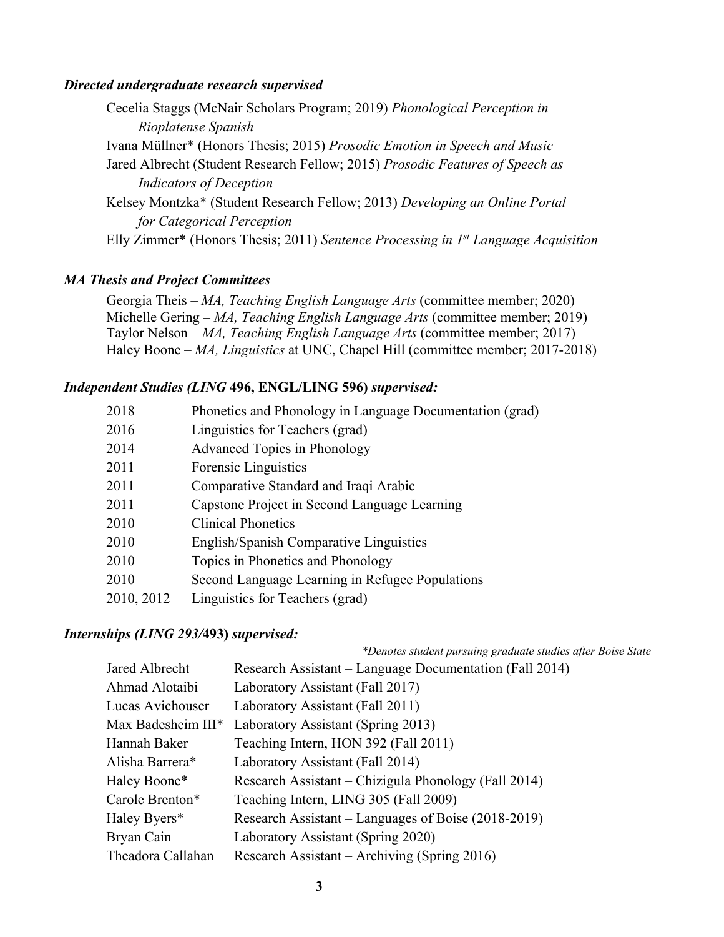#### *Directed undergraduate research supervised*

| Cecelia Staggs (McNair Scholars Program; 2019) Phonological Perception in               |
|-----------------------------------------------------------------------------------------|
| Rioplatense Spanish                                                                     |
| Ivana Müllner* (Honors Thesis; 2015) Prosodic Emotion in Speech and Music               |
| Jared Albrecht (Student Research Fellow; 2015) Prosodic Features of Speech as           |
| <b>Indicators of Deception</b>                                                          |
| Kelsey Montzka* (Student Research Fellow; 2013) Developing an Online Portal             |
| for Categorical Perception                                                              |
| Elly Zimmer* (Honors Thesis; 2011) Sentence Processing in $I^{st}$ Language Acquisition |

#### *MA Thesis and Project Committees*

Georgia Theis – *MA, Teaching English Language Arts* (committee member; 2020) Michelle Gering – *MA, Teaching English Language Arts* (committee member; 2019) Taylor Nelson – *MA, Teaching English Language Arts* (committee member; 2017) Haley Boone – *MA, Linguistics* at UNC, Chapel Hill (committee member; 2017-2018)

#### *Independent Studies (LING* **496, ENGL/LING 596)** *supervised:*

| Phonetics and Phonology in Language Documentation (grad) |
|----------------------------------------------------------|
| Linguistics for Teachers (grad)                          |
| <b>Advanced Topics in Phonology</b>                      |
| Forensic Linguistics                                     |
| Comparative Standard and Iraqi Arabic                    |
| Capstone Project in Second Language Learning             |
| <b>Clinical Phonetics</b>                                |
| English/Spanish Comparative Linguistics                  |
| Topics in Phonetics and Phonology                        |
| Second Language Learning in Refugee Populations          |
| Linguistics for Teachers (grad)                          |
|                                                          |

#### *Internships (LING 293/***493)** *supervised:*

| $\cdots$           |                                                              |
|--------------------|--------------------------------------------------------------|
|                    | *Denotes student pursuing graduate studies after Boise State |
| Jared Albrecht     | Research Assistant – Language Documentation (Fall 2014)      |
| Ahmad Alotaibi     | Laboratory Assistant (Fall 2017)                             |
| Lucas Avichouser   | Laboratory Assistant (Fall 2011)                             |
| Max Badesheim III* | Laboratory Assistant (Spring 2013)                           |
| Hannah Baker       | Teaching Intern, HON 392 (Fall 2011)                         |
| Alisha Barrera*    | Laboratory Assistant (Fall 2014)                             |
| Haley Boone*       | Research Assistant – Chizigula Phonology (Fall 2014)         |
| Carole Brenton*    | Teaching Intern, LING 305 (Fall 2009)                        |
| Haley Byers*       | Research Assistant – Languages of Boise (2018-2019)          |
| Bryan Cain         | Laboratory Assistant (Spring 2020)                           |
| Theadora Callahan  | Research Assistant – Archiving (Spring 2016)                 |
|                    |                                                              |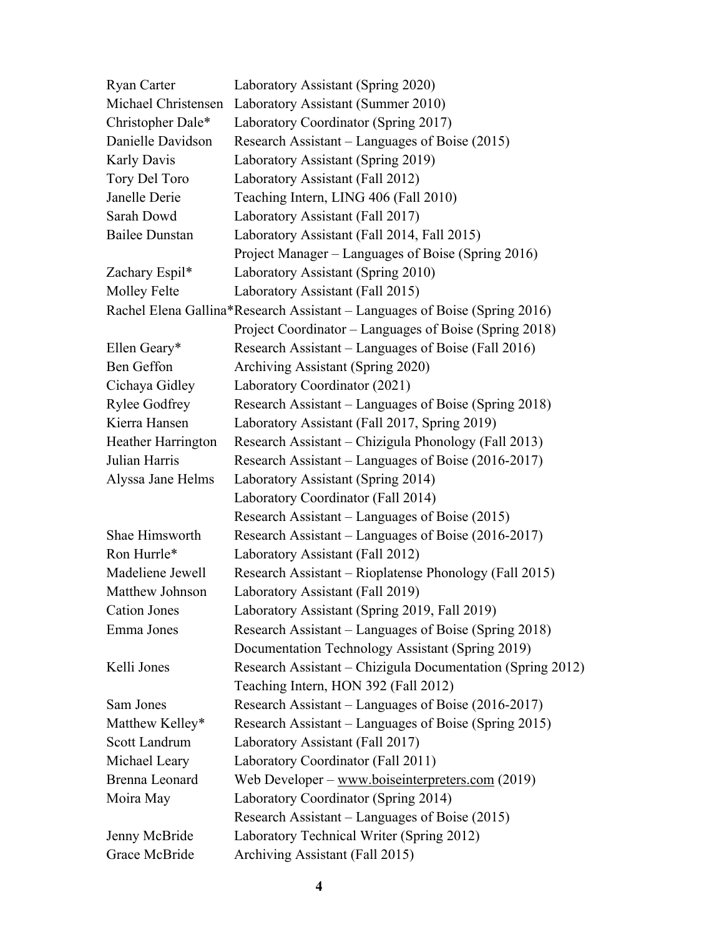| <b>Ryan Carter</b>    | Laboratory Assistant (Spring 2020)                                         |
|-----------------------|----------------------------------------------------------------------------|
| Michael Christensen   | Laboratory Assistant (Summer 2010)                                         |
| Christopher Dale*     | Laboratory Coordinator (Spring 2017)                                       |
| Danielle Davidson     | Research Assistant – Languages of Boise (2015)                             |
| Karly Davis           | Laboratory Assistant (Spring 2019)                                         |
| Tory Del Toro         | Laboratory Assistant (Fall 2012)                                           |
| Janelle Derie         | Teaching Intern, LING 406 (Fall 2010)                                      |
| Sarah Dowd            | Laboratory Assistant (Fall 2017)                                           |
| <b>Bailee Dunstan</b> | Laboratory Assistant (Fall 2014, Fall 2015)                                |
|                       | Project Manager – Languages of Boise (Spring 2016)                         |
| Zachary Espil*        | Laboratory Assistant (Spring 2010)                                         |
| <b>Molley Felte</b>   | Laboratory Assistant (Fall 2015)                                           |
|                       | Rachel Elena Gallina*Research Assistant – Languages of Boise (Spring 2016) |
|                       | Project Coordinator – Languages of Boise (Spring 2018)                     |
| Ellen Geary*          | Research Assistant – Languages of Boise (Fall 2016)                        |
| Ben Geffon            | Archiving Assistant (Spring 2020)                                          |
| Cichaya Gidley        | Laboratory Coordinator (2021)                                              |
| <b>Rylee Godfrey</b>  | Research Assistant – Languages of Boise (Spring 2018)                      |
| Kierra Hansen         | Laboratory Assistant (Fall 2017, Spring 2019)                              |
| Heather Harrington    | Research Assistant – Chizigula Phonology (Fall 2013)                       |
| Julian Harris         | Research Assistant – Languages of Boise (2016-2017)                        |
| Alyssa Jane Helms     | Laboratory Assistant (Spring 2014)                                         |
|                       | Laboratory Coordinator (Fall 2014)                                         |
|                       | Research Assistant – Languages of Boise (2015)                             |
| Shae Himsworth        | Research Assistant – Languages of Boise (2016-2017)                        |
| Ron Hurrle*           | Laboratory Assistant (Fall 2012)                                           |
| Madeliene Jewell      | Research Assistant – Rioplatense Phonology (Fall 2015)                     |
| Matthew Johnson       | Laboratory Assistant (Fall 2019)                                           |
| <b>Cation Jones</b>   | Laboratory Assistant (Spring 2019, Fall 2019)                              |
| Emma Jones            | Research Assistant – Languages of Boise (Spring 2018)                      |
|                       | Documentation Technology Assistant (Spring 2019)                           |
| Kelli Jones           | Research Assistant - Chizigula Documentation (Spring 2012)                 |
|                       | Teaching Intern, HON 392 (Fall 2012)                                       |
| Sam Jones             | Research Assistant – Languages of Boise (2016-2017)                        |
| Matthew Kelley*       | Research Assistant – Languages of Boise (Spring 2015)                      |
| Scott Landrum         | Laboratory Assistant (Fall 2017)                                           |
| Michael Leary         | Laboratory Coordinator (Fall 2011)                                         |
| Brenna Leonard        | Web Developer – www.boiseinterpreters.com (2019)                           |
| Moira May             | Laboratory Coordinator (Spring 2014)                                       |
|                       | Research Assistant – Languages of Boise (2015)                             |
| Jenny McBride         | Laboratory Technical Writer (Spring 2012)                                  |
| Grace McBride         | Archiving Assistant (Fall 2015)                                            |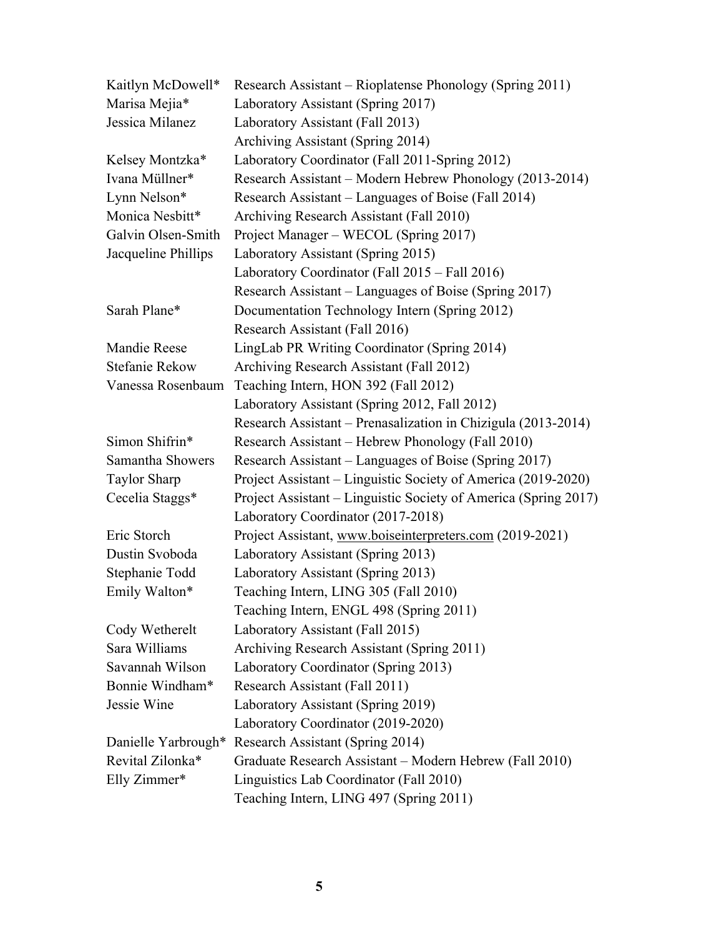| Kaitlyn McDowell*   | Research Assistant – Rioplatense Phonology (Spring 2011)        |
|---------------------|-----------------------------------------------------------------|
| Marisa Mejia*       | Laboratory Assistant (Spring 2017)                              |
| Jessica Milanez     | Laboratory Assistant (Fall 2013)                                |
|                     | Archiving Assistant (Spring 2014)                               |
| Kelsey Montzka*     | Laboratory Coordinator (Fall 2011-Spring 2012)                  |
| Ivana Müllner*      | Research Assistant – Modern Hebrew Phonology (2013-2014)        |
| Lynn Nelson*        | Research Assistant – Languages of Boise (Fall 2014)             |
| Monica Nesbitt*     | Archiving Research Assistant (Fall 2010)                        |
| Galvin Olsen-Smith  | Project Manager – WECOL (Spring 2017)                           |
| Jacqueline Phillips | Laboratory Assistant (Spring 2015)                              |
|                     | Laboratory Coordinator (Fall 2015 - Fall 2016)                  |
|                     | Research Assistant – Languages of Boise (Spring 2017)           |
| Sarah Plane*        | Documentation Technology Intern (Spring 2012)                   |
|                     | Research Assistant (Fall 2016)                                  |
| Mandie Reese        | LingLab PR Writing Coordinator (Spring 2014)                    |
| Stefanie Rekow      | Archiving Research Assistant (Fall 2012)                        |
| Vanessa Rosenbaum   | Teaching Intern, HON 392 (Fall 2012)                            |
|                     | Laboratory Assistant (Spring 2012, Fall 2012)                   |
|                     | Research Assistant – Prenasalization in Chizigula (2013-2014)   |
| Simon Shifrin*      | Research Assistant – Hebrew Phonology (Fall 2010)               |
| Samantha Showers    | Research Assistant – Languages of Boise (Spring 2017)           |
| <b>Taylor Sharp</b> | Project Assistant – Linguistic Society of America (2019-2020)   |
| Cecelia Staggs*     | Project Assistant – Linguistic Society of America (Spring 2017) |
|                     | Laboratory Coordinator (2017-2018)                              |
| Eric Storch         | Project Assistant, www.boiseinterpreters.com (2019-2021)        |
| Dustin Svoboda      | Laboratory Assistant (Spring 2013)                              |
| Stephanie Todd      | Laboratory Assistant (Spring 2013)                              |
| Emily Walton*       | Teaching Intern, LING 305 (Fall 2010)                           |
|                     | Teaching Intern, ENGL 498 (Spring 2011)                         |
| Cody Wetherelt      | Laboratory Assistant (Fall 2015)                                |
| Sara Williams       | Archiving Research Assistant (Spring 2011)                      |
| Savannah Wilson     | Laboratory Coordinator (Spring 2013)                            |
| Bonnie Windham*     | Research Assistant (Fall 2011)                                  |
| Jessie Wine         | Laboratory Assistant (Spring 2019)                              |
|                     | Laboratory Coordinator (2019-2020)                              |
|                     | Danielle Yarbrough* Research Assistant (Spring 2014)            |
| Revital Zilonka*    | Graduate Research Assistant - Modern Hebrew (Fall 2010)         |
| Elly Zimmer*        | Linguistics Lab Coordinator (Fall 2010)                         |
|                     | Teaching Intern, LING 497 (Spring 2011)                         |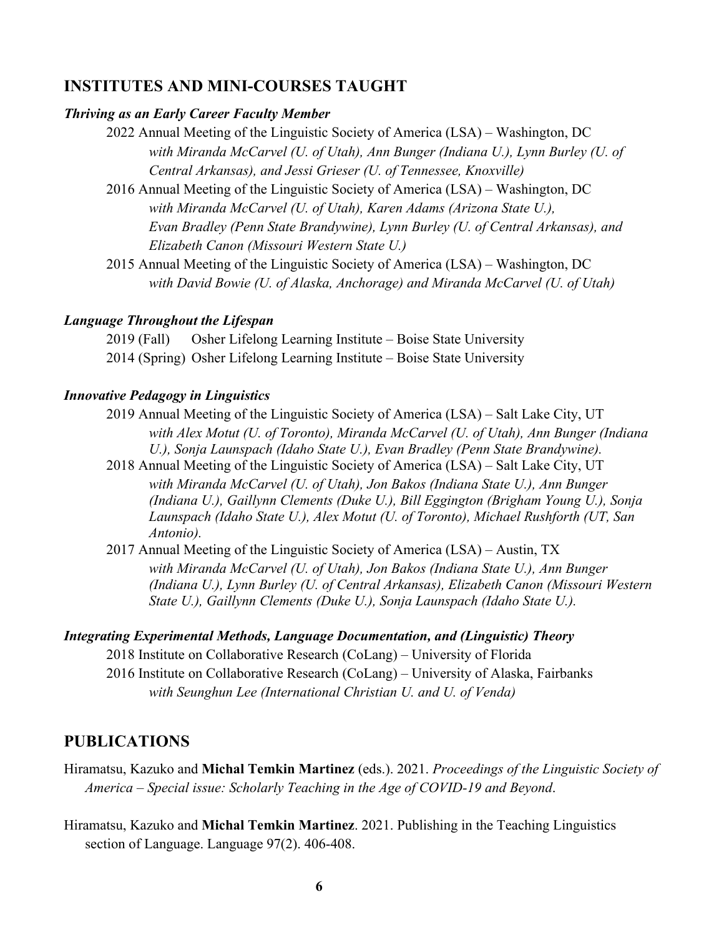#### **INSTITUTES AND MINI-COURSES TAUGHT**

#### *Thriving as an Early Career Faculty Member*

2022 Annual Meeting of the Linguistic Society of America (LSA) – Washington, DC *with Miranda McCarvel (U. of Utah), Ann Bunger (Indiana U.), Lynn Burley (U. of Central Arkansas), and Jessi Grieser (U. of Tennessee, Knoxville)*

2016 Annual Meeting of the Linguistic Society of America (LSA) – Washington, DC *with Miranda McCarvel (U. of Utah), Karen Adams (Arizona State U.), Evan Bradley (Penn State Brandywine), Lynn Burley (U. of Central Arkansas), and Elizabeth Canon (Missouri Western State U.)*

2015 Annual Meeting of the Linguistic Society of America (LSA) – Washington, DC *with David Bowie (U. of Alaska, Anchorage) and Miranda McCarvel (U. of Utah)*

#### *Language Throughout the Lifespan*

2019 (Fall) Osher Lifelong Learning Institute – Boise State University 2014 (Spring) Osher Lifelong Learning Institute – Boise State University

#### *Innovative Pedagogy in Linguistics*

2019 Annual Meeting of the Linguistic Society of America (LSA) – Salt Lake City, UT *with Alex Motut (U. of Toronto), Miranda McCarvel (U. of Utah), Ann Bunger (Indiana U.), Sonja Launspach (Idaho State U.), Evan Bradley (Penn State Brandywine).*

2018 Annual Meeting of the Linguistic Society of America (LSA) – Salt Lake City, UT *with Miranda McCarvel (U. of Utah), Jon Bakos (Indiana State U.), Ann Bunger (Indiana U.), Gaillynn Clements (Duke U.), Bill Eggington (Brigham Young U.), Sonja Launspach (Idaho State U.), Alex Motut (U. of Toronto), Michael Rushforth (UT, San Antonio).*

2017 Annual Meeting of the Linguistic Society of America (LSA) – Austin, TX *with Miranda McCarvel (U. of Utah), Jon Bakos (Indiana State U.), Ann Bunger (Indiana U.), Lynn Burley (U. of Central Arkansas), Elizabeth Canon (Missouri Western State U.), Gaillynn Clements (Duke U.), Sonja Launspach (Idaho State U.).*

#### *Integrating Experimental Methods, Language Documentation, and (Linguistic) Theory*

2018 Institute on Collaborative Research (CoLang) – University of Florida 2016 Institute on Collaborative Research (CoLang) – University of Alaska, Fairbanks *with Seunghun Lee (International Christian U. and U. of Venda)*

#### **PUBLICATIONS**

- Hiramatsu, Kazuko and **Michal Temkin Martinez** (eds.). 2021. *Proceedings of the Linguistic Society of America* – *Special issue: Scholarly Teaching in the Age of COVID-19 and Beyond*.
- Hiramatsu, Kazuko and **Michal Temkin Martinez**. 2021. Publishing in the Teaching Linguistics section of Language. Language 97(2). 406-408.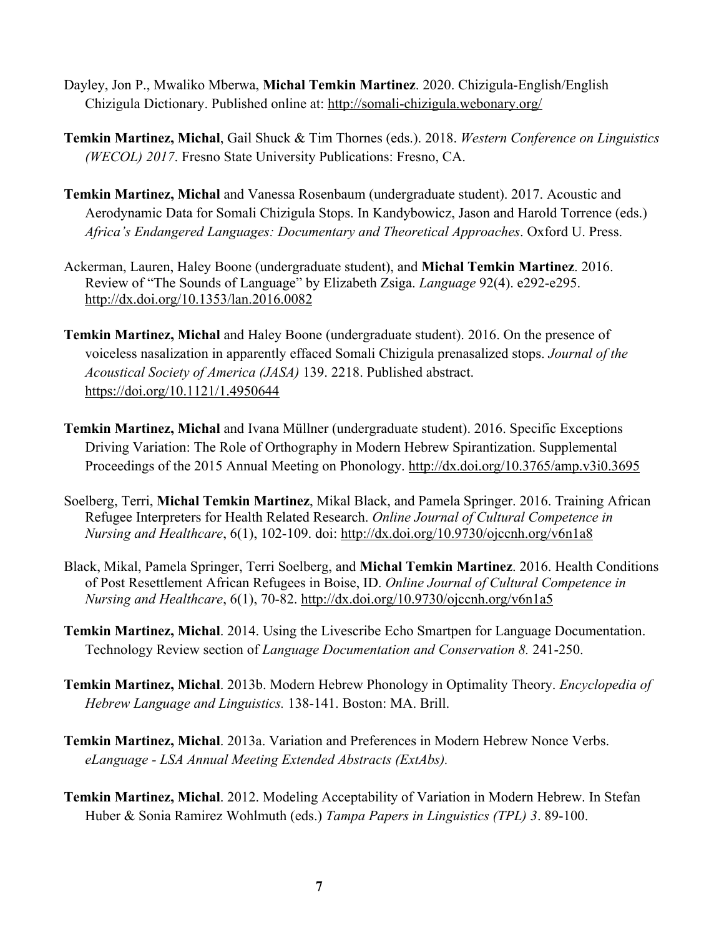- Dayley, Jon P., Mwaliko Mberwa, **Michal Temkin Martinez**. 2020. Chizigula-English/English Chizigula Dictionary. Published online at: http://somali-chizigula.webonary.org/
- **Temkin Martinez, Michal**, Gail Shuck & Tim Thornes (eds.). 2018. *Western Conference on Linguistics (WECOL) 2017*. Fresno State University Publications: Fresno, CA.
- **Temkin Martinez, Michal** and Vanessa Rosenbaum (undergraduate student). 2017. Acoustic and Aerodynamic Data for Somali Chizigula Stops. In Kandybowicz, Jason and Harold Torrence (eds.) *Africa's Endangered Languages: Documentary and Theoretical Approaches*. Oxford U. Press.
- Ackerman, Lauren, Haley Boone (undergraduate student), and **Michal Temkin Martinez**. 2016. Review of "The Sounds of Language" by Elizabeth Zsiga. *Language* 92(4). e292-e295. http://dx.doi.org/10.1353/lan.2016.0082
- **Temkin Martinez, Michal** and Haley Boone (undergraduate student). 2016. On the presence of voiceless nasalization in apparently effaced Somali Chizigula prenasalized stops. *Journal of the Acoustical Society of America (JASA)* 139. 2218. Published abstract. https://doi.org/10.1121/1.4950644
- **Temkin Martinez, Michal** and Ivana Müllner (undergraduate student). 2016. Specific Exceptions Driving Variation: The Role of Orthography in Modern Hebrew Spirantization. Supplemental Proceedings of the 2015 Annual Meeting on Phonology. http://dx.doi.org/10.3765/amp.v3i0.3695
- Soelberg, Terri, **Michal Temkin Martinez**, Mikal Black, and Pamela Springer. 2016. Training African Refugee Interpreters for Health Related Research. *Online Journal of Cultural Competence in Nursing and Healthcare*, 6(1), 102-109. doi: http://dx.doi.org/10.9730/ojccnh.org/v6n1a8
- Black, Mikal, Pamela Springer, Terri Soelberg, and **Michal Temkin Martinez**. 2016. Health Conditions of Post Resettlement African Refugees in Boise, ID. *Online Journal of Cultural Competence in Nursing and Healthcare*, 6(1), 70-82. http://dx.doi.org/10.9730/ojccnh.org/v6n1a5
- **Temkin Martinez, Michal**. 2014. Using the Livescribe Echo Smartpen for Language Documentation. Technology Review section of *Language Documentation and Conservation 8.* 241-250.
- **Temkin Martinez, Michal**. 2013b. Modern Hebrew Phonology in Optimality Theory. *Encyclopedia of Hebrew Language and Linguistics.* 138-141. Boston: MA. Brill.
- **Temkin Martinez, Michal**. 2013a. Variation and Preferences in Modern Hebrew Nonce Verbs. *eLanguage - LSA Annual Meeting Extended Abstracts (ExtAbs).*
- **Temkin Martinez, Michal**. 2012. Modeling Acceptability of Variation in Modern Hebrew. In Stefan Huber & Sonia Ramirez Wohlmuth (eds.) *Tampa Papers in Linguistics (TPL) 3*. 89-100.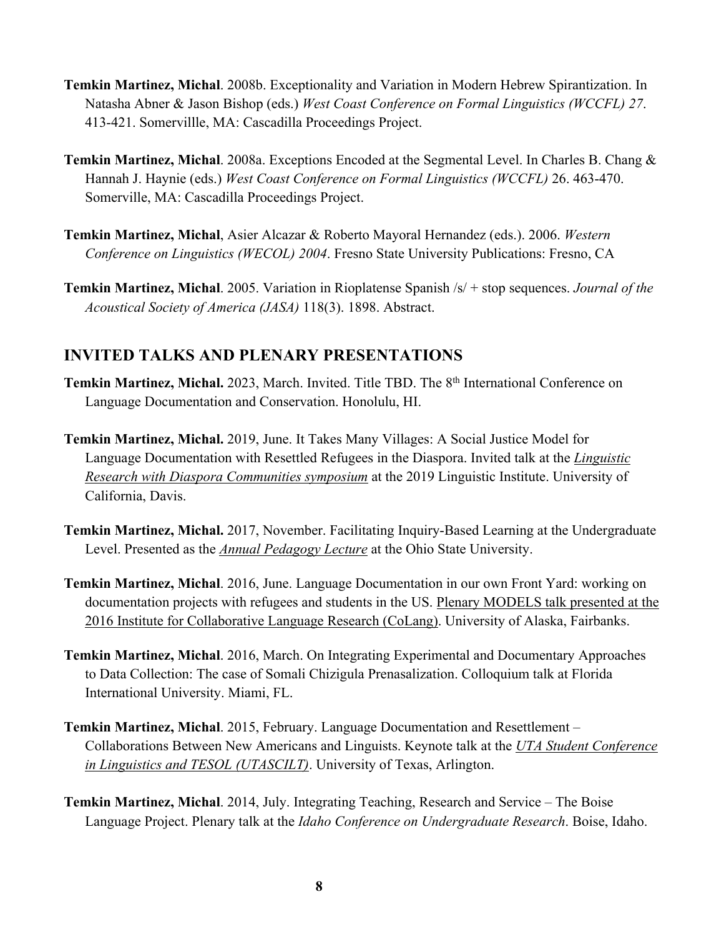- **Temkin Martinez, Michal**. 2008b. Exceptionality and Variation in Modern Hebrew Spirantization. In Natasha Abner & Jason Bishop (eds.) *West Coast Conference on Formal Linguistics (WCCFL) 27*. 413-421. Somervillle, MA: Cascadilla Proceedings Project.
- **Temkin Martinez, Michal**. 2008a. Exceptions Encoded at the Segmental Level. In Charles B. Chang & Hannah J. Haynie (eds.) *West Coast Conference on Formal Linguistics (WCCFL)* 26. 463-470. Somerville, MA: Cascadilla Proceedings Project.
- **Temkin Martinez, Michal**, Asier Alcazar & Roberto Mayoral Hernandez (eds.). 2006. *Western Conference on Linguistics (WECOL) 2004*. Fresno State University Publications: Fresno, CA
- **Temkin Martinez, Michal**. 2005. Variation in Rioplatense Spanish /s/ + stop sequences. *Journal of the Acoustical Society of America (JASA)* 118(3). 1898. Abstract.

### **INVITED TALKS AND PLENARY PRESENTATIONS**

- Temkin Martinez, Michal. 2023, March. Invited. Title TBD. The 8<sup>th</sup> International Conference on Language Documentation and Conservation. Honolulu, HI.
- **Temkin Martinez, Michal.** 2019, June. It Takes Many Villages: A Social Justice Model for Language Documentation with Resettled Refugees in the Diaspora. Invited talk at the *Linguistic Research with Diaspora Communities symposium* at the 2019 Linguistic Institute. University of California, Davis.
- **Temkin Martinez, Michal.** 2017, November. Facilitating Inquiry-Based Learning at the Undergraduate Level. Presented as the *Annual Pedagogy Lecture* at the Ohio State University.
- **Temkin Martinez, Michal**. 2016, June. Language Documentation in our own Front Yard: working on documentation projects with refugees and students in the US. Plenary MODELS talk presented at the 2016 Institute for Collaborative Language Research (CoLang). University of Alaska, Fairbanks.
- **Temkin Martinez, Michal**. 2016, March. On Integrating Experimental and Documentary Approaches to Data Collection: The case of Somali Chizigula Prenasalization. Colloquium talk at Florida International University. Miami, FL.
- **Temkin Martinez, Michal**. 2015, February. Language Documentation and Resettlement Collaborations Between New Americans and Linguists. Keynote talk at the *UTA Student Conference in Linguistics and TESOL (UTASCILT)*. University of Texas, Arlington.
- **Temkin Martinez, Michal**. 2014, July. Integrating Teaching, Research and Service The Boise Language Project. Plenary talk at the *Idaho Conference on Undergraduate Research*. Boise, Idaho.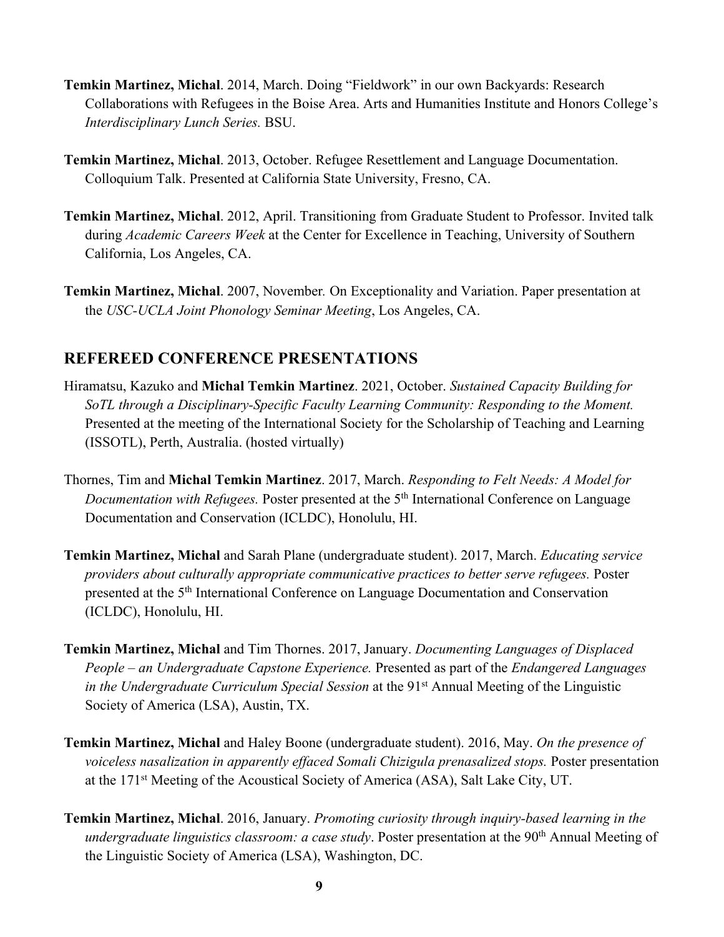- **Temkin Martinez, Michal**. 2014, March. Doing "Fieldwork" in our own Backyards: Research Collaborations with Refugees in the Boise Area. Arts and Humanities Institute and Honors College's *Interdisciplinary Lunch Series.* BSU.
- **Temkin Martinez, Michal**. 2013, October. Refugee Resettlement and Language Documentation. Colloquium Talk. Presented at California State University, Fresno, CA.
- **Temkin Martinez, Michal**. 2012, April. Transitioning from Graduate Student to Professor. Invited talk during *Academic Careers Week* at the Center for Excellence in Teaching, University of Southern California, Los Angeles, CA.
- **Temkin Martinez, Michal**. 2007, November*.* On Exceptionality and Variation. Paper presentation at the *USC-UCLA Joint Phonology Seminar Meeting*, Los Angeles, CA.

### **REFEREED CONFERENCE PRESENTATIONS**

- Hiramatsu, Kazuko and **Michal Temkin Martinez**. 2021, October. *Sustained Capacity Building for SoTL through a Disciplinary-Specific Faculty Learning Community: Responding to the Moment.* Presented at the meeting of the International Society for the Scholarship of Teaching and Learning (ISSOTL), Perth, Australia. (hosted virtually)
- Thornes, Tim and **Michal Temkin Martinez**. 2017, March. *Responding to Felt Needs: A Model for Documentation with Refugees.* Poster presented at the 5<sup>th</sup> International Conference on Language Documentation and Conservation (ICLDC), Honolulu, HI.
- **Temkin Martinez, Michal** and Sarah Plane (undergraduate student). 2017, March. *Educating service providers about culturally appropriate communicative practices to better serve refugees.* Poster presented at the 5th International Conference on Language Documentation and Conservation (ICLDC), Honolulu, HI.
- **Temkin Martinez, Michal** and Tim Thornes. 2017, January. *Documenting Languages of Displaced People – an Undergraduate Capstone Experience.* Presented as part of the *Endangered Languages in the Undergraduate Curriculum Special Session* at the 91<sup>st</sup> Annual Meeting of the Linguistic Society of America (LSA), Austin, TX.
- **Temkin Martinez, Michal** and Haley Boone (undergraduate student). 2016, May. *On the presence of voiceless nasalization in apparently effaced Somali Chizigula prenasalized stops.* Poster presentation at the 171st Meeting of the Acoustical Society of America (ASA), Salt Lake City, UT.
- **Temkin Martinez, Michal**. 2016, January. *Promoting curiosity through inquiry-based learning in the undergraduate linguistics classroom: a case study.* Poster presentation at the 90<sup>th</sup> Annual Meeting of the Linguistic Society of America (LSA), Washington, DC.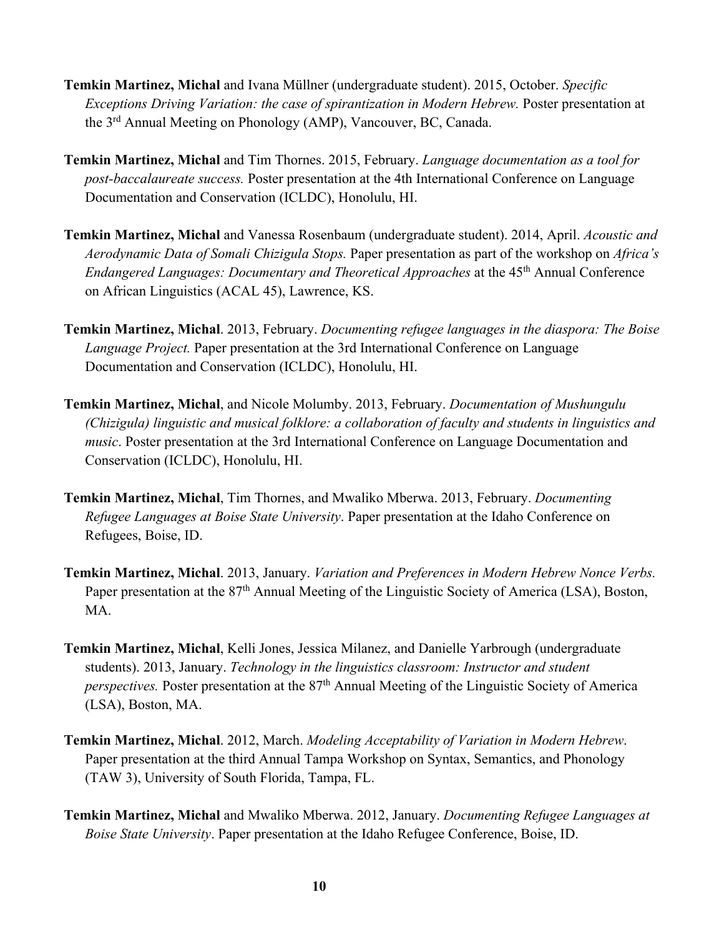- **Temkin Martinez, Michal** and Ivana Müllner (undergraduate student). 2015, October. *Specific Exceptions Driving Variation: the case of spirantization in Modern Hebrew.* Poster presentation at the 3rd Annual Meeting on Phonology (AMP), Vancouver, BC, Canada.
- **Temkin Martinez, Michal** and Tim Thornes. 2015, February. *Language documentation as a tool for post-baccalaureate success.* Poster presentation at the 4th International Conference on Language Documentation and Conservation (ICLDC), Honolulu, HI.
- **Temkin Martinez, Michal** and Vanessa Rosenbaum (undergraduate student). 2014, April. *Acoustic and Aerodynamic Data of Somali Chizigula Stops.* Paper presentation as part of the workshop on *Africa's Endangered Languages: Documentary and Theoretical Approaches* at the 45th Annual Conference on African Linguistics (ACAL 45), Lawrence, KS.
- **Temkin Martinez, Michal**. 2013, February. *Documenting refugee languages in the diaspora: The Boise Language Project.* Paper presentation at the 3rd International Conference on Language Documentation and Conservation (ICLDC), Honolulu, HI.
- **Temkin Martinez, Michal**, and Nicole Molumby. 2013, February. *Documentation of Mushungulu (Chizigula) linguistic and musical folklore: a collaboration of faculty and students in linguistics and music*. Poster presentation at the 3rd International Conference on Language Documentation and Conservation (ICLDC), Honolulu, HI.
- **Temkin Martinez, Michal**, Tim Thornes, and Mwaliko Mberwa. 2013, February. *Documenting Refugee Languages at Boise State University*. Paper presentation at the Idaho Conference on Refugees, Boise, ID.
- **Temkin Martinez, Michal**. 2013, January. *Variation and Preferences in Modern Hebrew Nonce Verbs.* Paper presentation at the 87<sup>th</sup> Annual Meeting of the Linguistic Society of America (LSA), Boston, MA.
- **Temkin Martinez, Michal**, Kelli Jones, Jessica Milanez, and Danielle Yarbrough (undergraduate students). 2013, January. *Technology in the linguistics classroom: Instructor and student perspectives.* Poster presentation at the 87<sup>th</sup> Annual Meeting of the Linguistic Society of America (LSA), Boston, MA.
- **Temkin Martinez, Michal**. 2012, March. *Modeling Acceptability of Variation in Modern Hebrew*. Paper presentation at the third Annual Tampa Workshop on Syntax, Semantics, and Phonology (TAW 3), University of South Florida, Tampa, FL.
- **Temkin Martinez, Michal** and Mwaliko Mberwa. 2012, January. *Documenting Refugee Languages at Boise State University*. Paper presentation at the Idaho Refugee Conference, Boise, ID.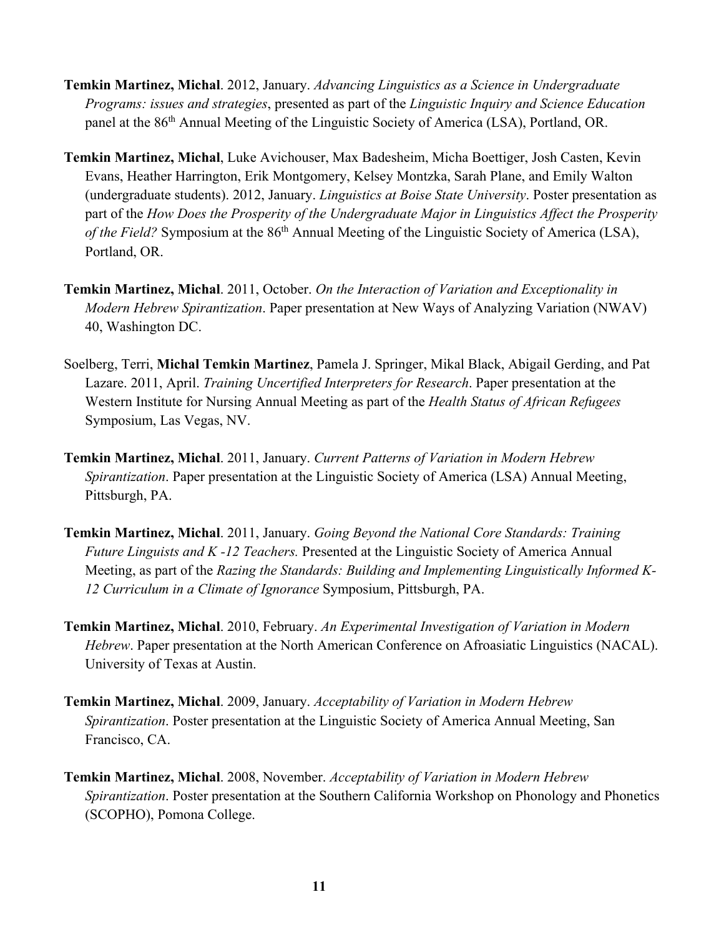- **Temkin Martinez, Michal**. 2012, January. *Advancing Linguistics as a Science in Undergraduate Programs: issues and strategies*, presented as part of the *Linguistic Inquiry and Science Education*  panel at the 86<sup>th</sup> Annual Meeting of the Linguistic Society of America (LSA), Portland, OR.
- **Temkin Martinez, Michal**, Luke Avichouser, Max Badesheim, Micha Boettiger, Josh Casten, Kevin Evans, Heather Harrington, Erik Montgomery, Kelsey Montzka, Sarah Plane, and Emily Walton (undergraduate students). 2012, January. *Linguistics at Boise State University*. Poster presentation as part of the *How Does the Prosperity of the Undergraduate Major in Linguistics Affect the Prosperity of the Field?* Symposium at the 86th Annual Meeting of the Linguistic Society of America (LSA), Portland, OR.
- **Temkin Martinez, Michal**. 2011, October. *On the Interaction of Variation and Exceptionality in Modern Hebrew Spirantization*. Paper presentation at New Ways of Analyzing Variation (NWAV) 40, Washington DC.
- Soelberg, Terri, **Michal Temkin Martinez**, Pamela J. Springer, Mikal Black, Abigail Gerding, and Pat Lazare. 2011, April. *Training Uncertified Interpreters for Research*. Paper presentation at the Western Institute for Nursing Annual Meeting as part of the *Health Status of African Refugees*  Symposium, Las Vegas, NV.
- **Temkin Martinez, Michal**. 2011, January. *Current Patterns of Variation in Modern Hebrew Spirantization*. Paper presentation at the Linguistic Society of America (LSA) Annual Meeting, Pittsburgh, PA.
- **Temkin Martinez, Michal**. 2011, January. *Going Beyond the National Core Standards: Training Future Linguists and K -12 Teachers.* Presented at the Linguistic Society of America Annual Meeting, as part of the *Razing the Standards: Building and Implementing Linguistically Informed K-12 Curriculum in a Climate of Ignorance* Symposium, Pittsburgh, PA.
- **Temkin Martinez, Michal**. 2010, February. *An Experimental Investigation of Variation in Modern Hebrew*. Paper presentation at the North American Conference on Afroasiatic Linguistics (NACAL). University of Texas at Austin.
- **Temkin Martinez, Michal**. 2009, January. *Acceptability of Variation in Modern Hebrew Spirantization*. Poster presentation at the Linguistic Society of America Annual Meeting, San Francisco, CA.
- **Temkin Martinez, Michal**. 2008, November. *Acceptability of Variation in Modern Hebrew Spirantization*. Poster presentation at the Southern California Workshop on Phonology and Phonetics (SCOPHO), Pomona College.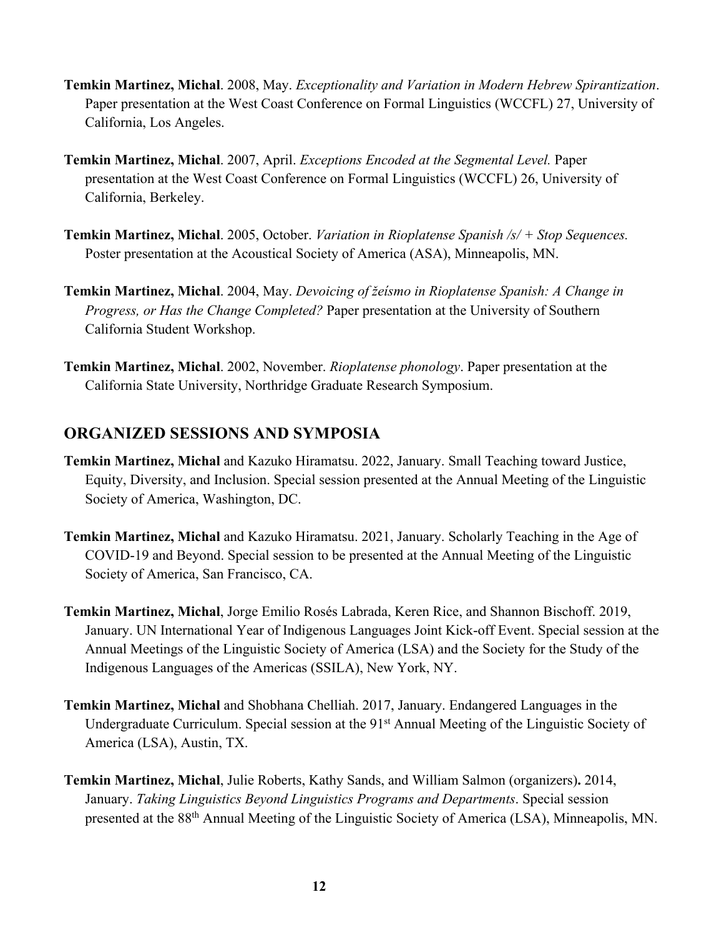- **Temkin Martinez, Michal**. 2008, May. *Exceptionality and Variation in Modern Hebrew Spirantization*. Paper presentation at the West Coast Conference on Formal Linguistics (WCCFL) 27, University of California, Los Angeles.
- **Temkin Martinez, Michal**. 2007, April. *Exceptions Encoded at the Segmental Level.* Paper presentation at the West Coast Conference on Formal Linguistics (WCCFL) 26, University of California, Berkeley.
- **Temkin Martinez, Michal**. 2005, October. *Variation in Rioplatense Spanish /s/ + Stop Sequences.* Poster presentation at the Acoustical Society of America (ASA), Minneapolis, MN.
- **Temkin Martinez, Michal**. 2004, May. *Devoicing of žeísmo in Rioplatense Spanish: A Change in Progress, or Has the Change Completed?* Paper presentation at the University of Southern California Student Workshop.
- **Temkin Martinez, Michal**. 2002, November. *Rioplatense phonology*. Paper presentation at the California State University, Northridge Graduate Research Symposium.

### **ORGANIZED SESSIONS AND SYMPOSIA**

- **Temkin Martinez, Michal** and Kazuko Hiramatsu. 2022, January. Small Teaching toward Justice, Equity, Diversity, and Inclusion. Special session presented at the Annual Meeting of the Linguistic Society of America, Washington, DC.
- **Temkin Martinez, Michal** and Kazuko Hiramatsu. 2021, January. Scholarly Teaching in the Age of COVID-19 and Beyond. Special session to be presented at the Annual Meeting of the Linguistic Society of America, San Francisco, CA.
- **Temkin Martinez, Michal**, Jorge Emilio Rosés Labrada, Keren Rice, and Shannon Bischoff. 2019, January. UN International Year of Indigenous Languages Joint Kick-off Event. Special session at the Annual Meetings of the Linguistic Society of America (LSA) and the Society for the Study of the Indigenous Languages of the Americas (SSILA), New York, NY.
- **Temkin Martinez, Michal** and Shobhana Chelliah. 2017, January. Endangered Languages in the Undergraduate Curriculum. Special session at the 91<sup>st</sup> Annual Meeting of the Linguistic Society of America (LSA), Austin, TX.
- **Temkin Martinez, Michal**, Julie Roberts, Kathy Sands, and William Salmon (organizers)**.** 2014, January. *Taking Linguistics Beyond Linguistics Programs and Departments*. Special session presented at the 88th Annual Meeting of the Linguistic Society of America (LSA), Minneapolis, MN.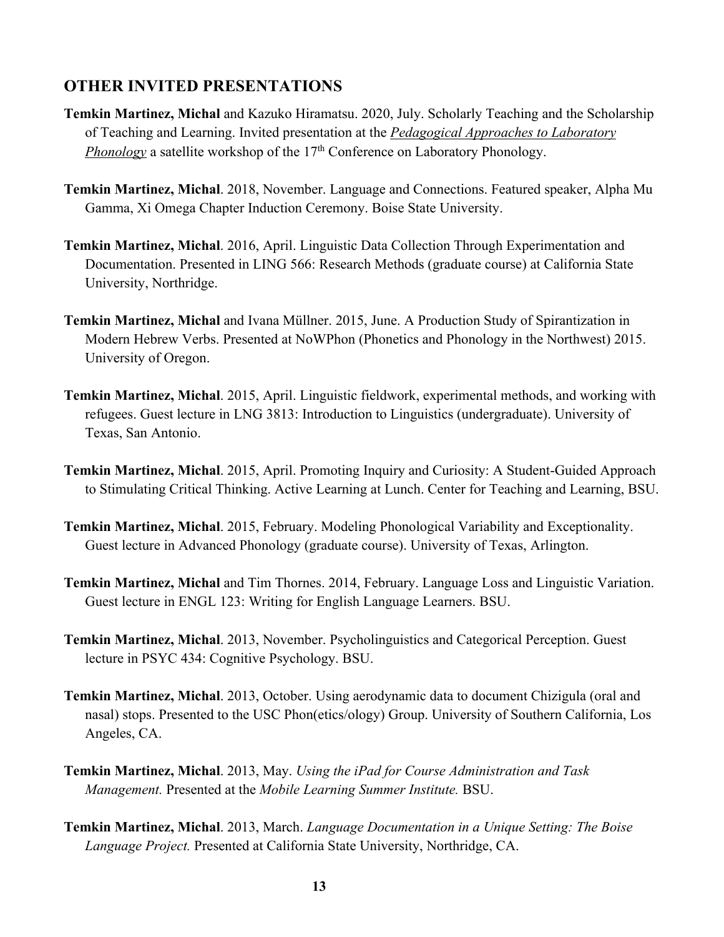### **OTHER INVITED PRESENTATIONS**

- **Temkin Martinez, Michal** and Kazuko Hiramatsu. 2020, July. Scholarly Teaching and the Scholarship of Teaching and Learning. Invited presentation at the *Pedagogical Approaches to Laboratory Phonology* a satellite workshop of the 17<sup>th</sup> Conference on Laboratory Phonology.
- **Temkin Martinez, Michal**. 2018, November. Language and Connections. Featured speaker, Alpha Mu Gamma, Xi Omega Chapter Induction Ceremony. Boise State University.
- **Temkin Martinez, Michal**. 2016, April. Linguistic Data Collection Through Experimentation and Documentation. Presented in LING 566: Research Methods (graduate course) at California State University, Northridge.
- **Temkin Martinez, Michal** and Ivana Müllner. 2015, June. A Production Study of Spirantization in Modern Hebrew Verbs. Presented at NoWPhon (Phonetics and Phonology in the Northwest) 2015. University of Oregon.
- **Temkin Martinez, Michal**. 2015, April. Linguistic fieldwork, experimental methods, and working with refugees. Guest lecture in LNG 3813: Introduction to Linguistics (undergraduate). University of Texas, San Antonio.
- **Temkin Martinez, Michal**. 2015, April. Promoting Inquiry and Curiosity: A Student-Guided Approach to Stimulating Critical Thinking. Active Learning at Lunch. Center for Teaching and Learning, BSU.
- **Temkin Martinez, Michal**. 2015, February. Modeling Phonological Variability and Exceptionality. Guest lecture in Advanced Phonology (graduate course). University of Texas, Arlington.
- **Temkin Martinez, Michal** and Tim Thornes. 2014, February. Language Loss and Linguistic Variation. Guest lecture in ENGL 123: Writing for English Language Learners. BSU.
- **Temkin Martinez, Michal**. 2013, November. Psycholinguistics and Categorical Perception. Guest lecture in PSYC 434: Cognitive Psychology. BSU.
- **Temkin Martinez, Michal**. 2013, October. Using aerodynamic data to document Chizigula (oral and nasal) stops. Presented to the USC Phon(etics/ology) Group. University of Southern California, Los Angeles, CA.
- **Temkin Martinez, Michal**. 2013, May. *Using the iPad for Course Administration and Task Management.* Presented at the *Mobile Learning Summer Institute.* BSU.
- **Temkin Martinez, Michal**. 2013, March. *Language Documentation in a Unique Setting: The Boise Language Project.* Presented at California State University, Northridge, CA.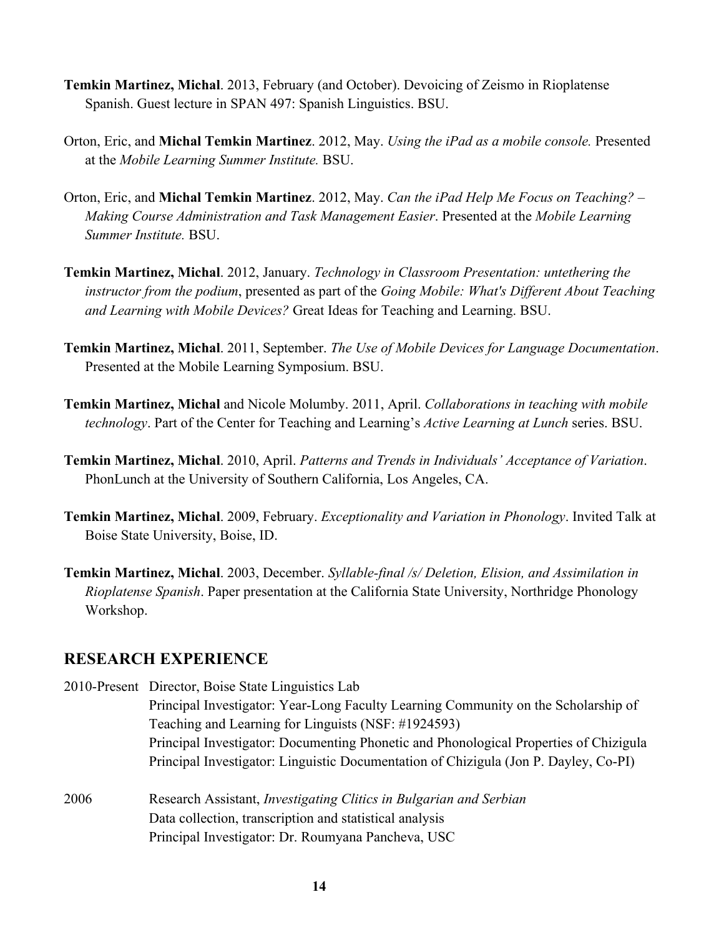- **Temkin Martinez, Michal**. 2013, February (and October). Devoicing of Zeismo in Rioplatense Spanish. Guest lecture in SPAN 497: Spanish Linguistics. BSU.
- Orton, Eric, and **Michal Temkin Martinez**. 2012, May. *Using the iPad as a mobile console.* Presented at the *Mobile Learning Summer Institute.* BSU.
- Orton, Eric, and **Michal Temkin Martinez**. 2012, May. *Can the iPad Help Me Focus on Teaching? – Making Course Administration and Task Management Easier*. Presented at the *Mobile Learning Summer Institute.* BSU.
- **Temkin Martinez, Michal**. 2012, January. *Technology in Classroom Presentation: untethering the instructor from the podium*, presented as part of the *Going Mobile: What's Different About Teaching and Learning with Mobile Devices?* Great Ideas for Teaching and Learning. BSU.
- **Temkin Martinez, Michal**. 2011, September. *The Use of Mobile Devices for Language Documentation*. Presented at the Mobile Learning Symposium. BSU.
- **Temkin Martinez, Michal** and Nicole Molumby. 2011, April. *Collaborations in teaching with mobile technology*. Part of the Center for Teaching and Learning's *Active Learning at Lunch* series. BSU.
- **Temkin Martinez, Michal**. 2010, April. *Patterns and Trends in Individuals' Acceptance of Variation*. PhonLunch at the University of Southern California, Los Angeles, CA.
- **Temkin Martinez, Michal**. 2009, February. *Exceptionality and Variation in Phonology*. Invited Talk at Boise State University, Boise, ID.
- **Temkin Martinez, Michal**. 2003, December. *Syllable-final /s/ Deletion, Elision, and Assimilation in Rioplatense Spanish*. Paper presentation at the California State University, Northridge Phonology Workshop.

### **RESEARCH EXPERIENCE**

- 2010-Present Director, Boise State Linguistics Lab Principal Investigator: Year-Long Faculty Learning Community on the Scholarship of Teaching and Learning for Linguists (NSF: #1924593) Principal Investigator: Documenting Phonetic and Phonological Properties of Chizigula Principal Investigator: Linguistic Documentation of Chizigula (Jon P. Dayley, Co-PI)
- 2006 Research Assistant, *Investigating Clitics in Bulgarian and Serbian* Data collection, transcription and statistical analysis Principal Investigator: Dr. Roumyana Pancheva, USC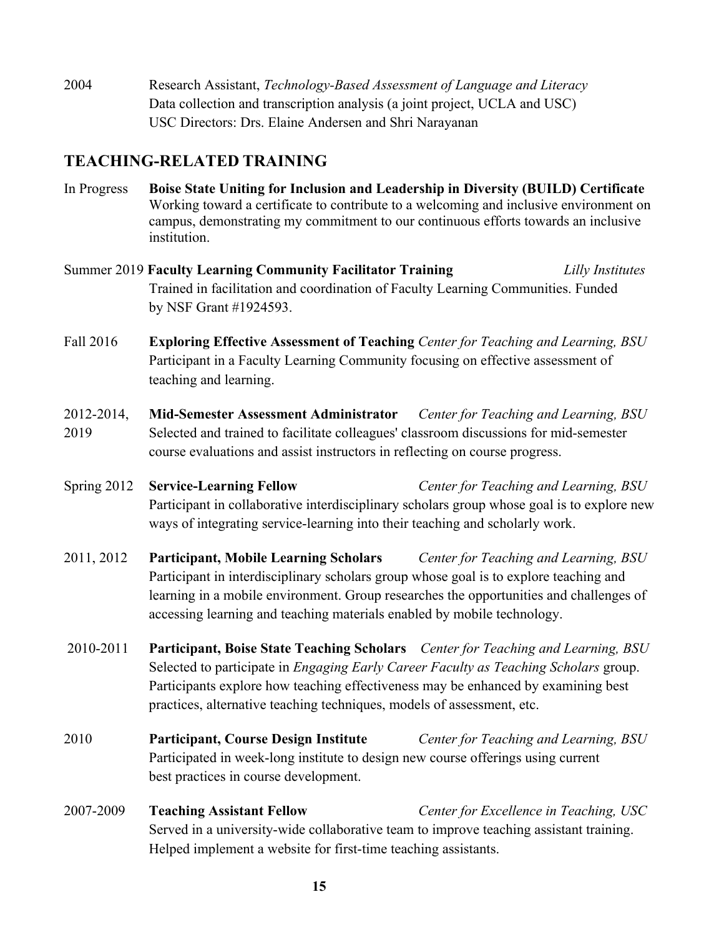2004 Research Assistant, *Technology-Based Assessment of Language and Literacy* Data collection and transcription analysis (a joint project, UCLA and USC) USC Directors: Drs. Elaine Andersen and Shri Narayanan

## **TEACHING-RELATED TRAINING**

- In Progress **Boise State Uniting for Inclusion and Leadership in Diversity (BUILD) Certificate**  Working toward a certificate to contribute to a welcoming and inclusive environment on campus, demonstrating my commitment to our continuous efforts towards an inclusive institution.
- Summer 2019 **Faculty Learning Community Facilitator Training** *Lilly Institutes* Trained in facilitation and coordination of Faculty Learning Communities. Funded by NSF Grant #1924593.
- Fall 2016 **Exploring Effective Assessment of Teaching** *Center for Teaching and Learning, BSU* Participant in a Faculty Learning Community focusing on effective assessment of teaching and learning.
- 2012-2014, **Mid-Semester Assessment Administrator** *Center for Teaching and Learning, BSU* 2019 Selected and trained to facilitate colleagues' classroom discussions for mid-semester course evaluations and assist instructors in reflecting on course progress.
- Spring 2012 **Service-Learning Fellow** *Center for Teaching and Learning, BSU* Participant in collaborative interdisciplinary scholars group whose goal is to explore new ways of integrating service-learning into their teaching and scholarly work.
- 2011, 2012 **Participant, Mobile Learning Scholars** *Center for Teaching and Learning, BSU* Participant in interdisciplinary scholars group whose goal is to explore teaching and learning in a mobile environment. Group researches the opportunities and challenges of accessing learning and teaching materials enabled by mobile technology.
- 2010-2011 **Participant, Boise State Teaching Scholars** *Center for Teaching and Learning, BSU* Selected to participate in *Engaging Early Career Faculty as Teaching Scholars* group. Participants explore how teaching effectiveness may be enhanced by examining best practices, alternative teaching techniques, models of assessment, etc.
- 2010 **Participant, Course Design Institute** *Center for Teaching and Learning, BSU* Participated in week-long institute to design new course offerings using current best practices in course development.
- 2007-2009 **Teaching Assistant Fellow** *Center for Excellence in Teaching, USC* Served in a university-wide collaborative team to improve teaching assistant training. Helped implement a website for first-time teaching assistants.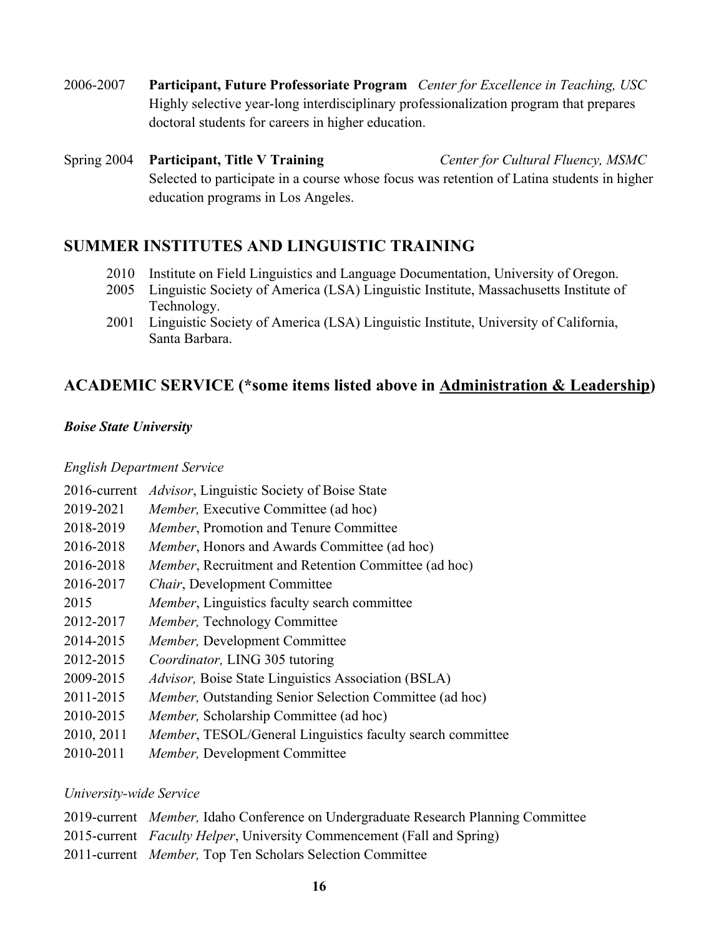2006-2007 **Participant, Future Professoriate Program** *Center for Excellence in Teaching, USC* Highly selective year-long interdisciplinary professionalization program that prepares doctoral students for careers in higher education.

Spring 2004 **Participant, Title V Training** *Center for Cultural Fluency, MSMC* Selected to participate in a course whose focus was retention of Latina students in higher education programs in Los Angeles.

### **SUMMER INSTITUTES AND LINGUISTIC TRAINING**

- 2010 Institute on Field Linguistics and Language Documentation, University of Oregon.
- 2005 Linguistic Society of America (LSA) Linguistic Institute, Massachusetts Institute of Technology.
- 2001 Linguistic Society of America (LSA) Linguistic Institute, University of California, Santa Barbara.

### **ACADEMIC SERVICE (\*some items listed above in Administration & Leadership)**

#### *Boise State University*

#### *English Department Service*

| 2016-current | <i>Advisor</i> , Linguistic Society of Boise State           |
|--------------|--------------------------------------------------------------|
| 2019-2021    | <i>Member</i> , Executive Committee (ad hoc)                 |
| 2018-2019    | Member, Promotion and Tenure Committee                       |
| 2016-2018    | <i>Member</i> , Honors and Awards Committee (ad hoc)         |
| 2016-2018    | <i>Member</i> , Recruitment and Retention Committee (ad hoc) |
| 2016-2017    | Chair, Development Committee                                 |
| 2015         | Member, Linguistics faculty search committee                 |
| 2012-2017    | <i>Member</i> , Technology Committee                         |
| 2014-2015    | Member, Development Committee                                |
| 2012-2015    | Coordinator, LING 305 tutoring                               |
| 2009-2015    | Advisor, Boise State Linguistics Association (BSLA)          |
| 2011-2015    | Member, Outstanding Senior Selection Committee (ad hoc)      |
| 2010-2015    | Member, Scholarship Committee (ad hoc)                       |
| 2010, 2011   | Member, TESOL/General Linguistics faculty search committee   |
| 2010-2011    | Member, Development Committee                                |

#### *University-wide Service*

- 2019-current *Member,* Idaho Conference on Undergraduate Research Planning Committee
- 2015-current *Faculty Helper*, University Commencement (Fall and Spring)
- 2011-current *Member,* Top Ten Scholars Selection Committee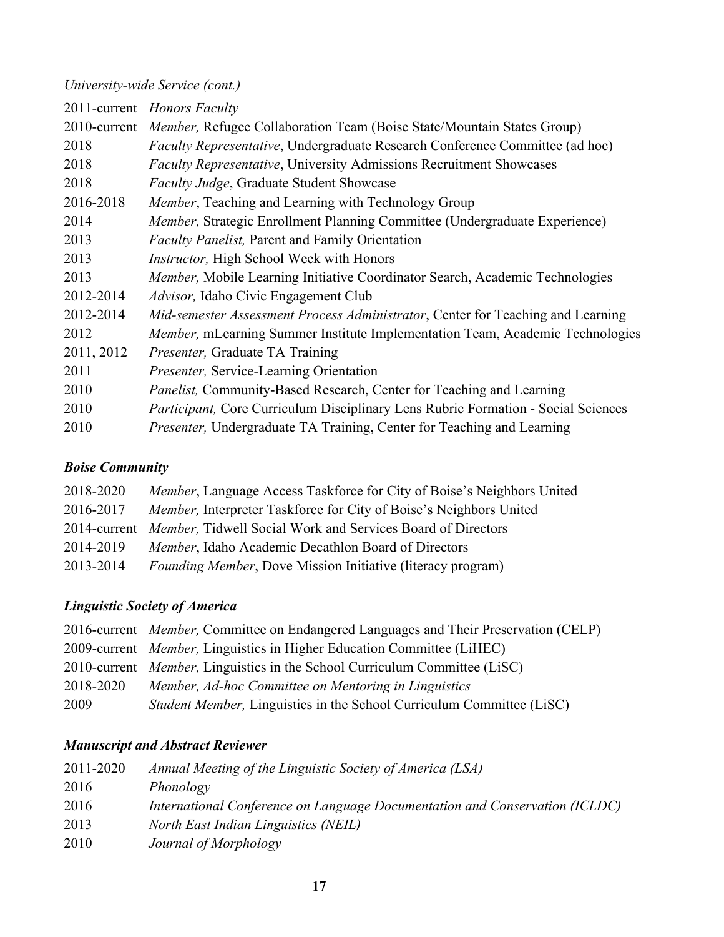### *University-wide Service (cont.)*

| 2011-current Honors Faculty                                                          |
|--------------------------------------------------------------------------------------|
| 2010-current Member, Refugee Collaboration Team (Boise State/Mountain States Group)  |
| <i>Faculty Representative</i> , Undergraduate Research Conference Committee (ad hoc) |
| Faculty Representative, University Admissions Recruitment Showcases                  |
| Faculty Judge, Graduate Student Showcase                                             |
| Member, Teaching and Learning with Technology Group                                  |
| Member, Strategic Enrollment Planning Committee (Undergraduate Experience)           |
| <i>Faculty Panelist</i> , Parent and Family Orientation                              |
| Instructor, High School Week with Honors                                             |
| Member, Mobile Learning Initiative Coordinator Search, Academic Technologies         |
| <i>Advisor</i> , Idaho Civic Engagement Club                                         |
| Mid-semester Assessment Process Administrator, Center for Teaching and Learning      |
| Member, mLearning Summer Institute Implementation Team, Academic Technologies        |
| <i>Presenter</i> , Graduate TA Training                                              |
| Presenter, Service-Learning Orientation                                              |
| Panelist, Community-Based Research, Center for Teaching and Learning                 |
| Participant, Core Curriculum Disciplinary Lens Rubric Formation - Social Sciences    |
| Presenter, Undergraduate TA Training, Center for Teaching and Learning               |
|                                                                                      |

### *Boise Community*

| 2018-2020 | Member, Language Access Taskforce for City of Boise's Neighbors United   |
|-----------|--------------------------------------------------------------------------|
| 2016-2017 | Member, Interpreter Taskforce for City of Boise's Neighbors United       |
|           | 2014-current Member, Tidwell Social Work and Services Board of Directors |
| 2014-2019 | <i>Member</i> , Idaho Academic Decathlon Board of Directors              |
| 2013-2014 | <i>Founding Member</i> , Dove Mission Initiative (literacy program)      |

### *Linguistic Society of America*

|           | 2016-current Member, Committee on Endangered Languages and Their Preservation (CELP) |
|-----------|--------------------------------------------------------------------------------------|
|           | 2009-current <i>Member</i> , Linguistics in Higher Education Committee (LiHEC)       |
|           | 2010-current <i>Member</i> , Linguistics in the School Curriculum Committee (LiSC)   |
| 2018-2020 | Member, Ad-hoc Committee on Mentoring in Linguistics                                 |
| 2009      | <i>Student Member, Linguistics in the School Curriculum Committee (LiSC)</i>         |

## *Manuscript and Abstract Reviewer*

| 2011-2020 | Annual Meeting of the Linguistic Society of America (LSA)                   |
|-----------|-----------------------------------------------------------------------------|
| 2016      | Phonology                                                                   |
| 2016      | International Conference on Language Documentation and Conservation (ICLDC) |
| 2013      | <b>North East Indian Linguistics (NEIL)</b>                                 |
| 2010      | Journal of Morphology                                                       |